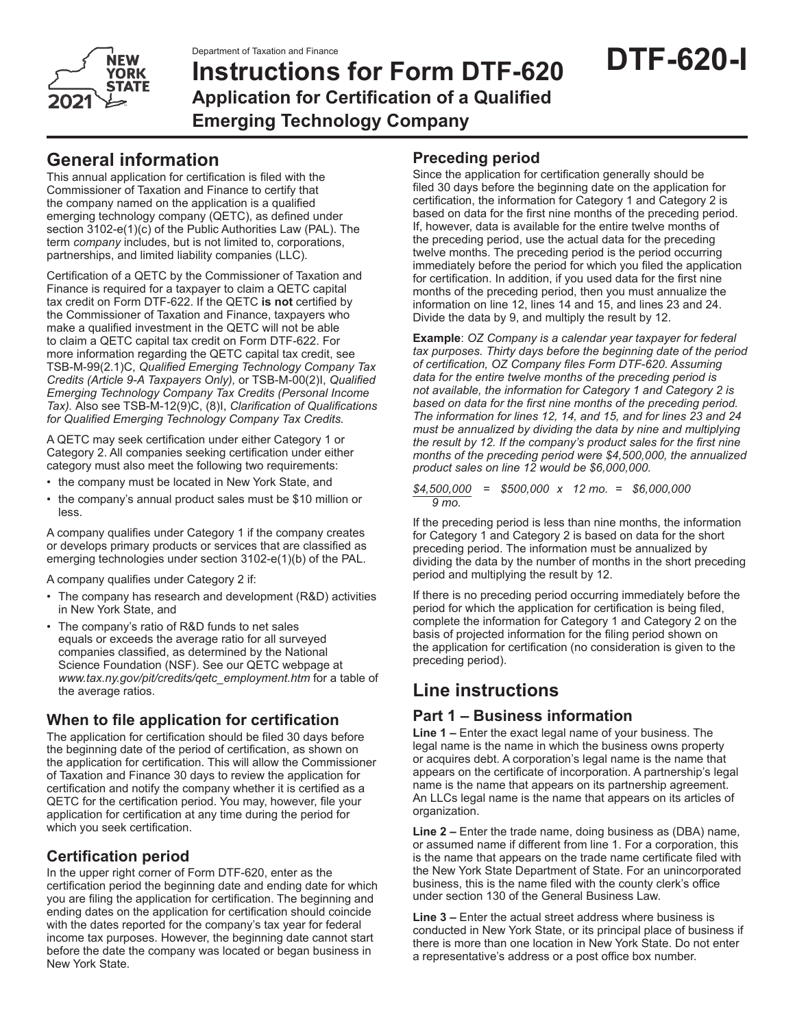

# **Instructions for Form DTF-620 Application for Certification of a Qualified Emerging Technology Company**

## **General information**

This annual application for certification is filed with the Commissioner of Taxation and Finance to certify that the company named on the application is a qualified emerging technology company (QETC), as defined under section 3102-e(1)(c) of the Public Authorities Law (PAL). The term *company* includes, but is not limited to, corporations, partnerships, and limited liability companies (LLC).

Certification of a QETC by the Commissioner of Taxation and Finance is required for a taxpayer to claim a QETC capital tax credit on Form DTF-622. If the QETC **is not** certified by the Commissioner of Taxation and Finance, taxpayers who make a qualified investment in the QETC will not be able to claim a QETC capital tax credit on Form DTF-622. For more information regarding the QETC capital tax credit, see TSB-M-99(2.1)C, *Qualified Emerging Technology Company Tax Credits (Article 9-A Taxpayers Only),* or TSB-M-00(2)I, *Qualified Emerging Technology Company Tax Credits (Personal Income Tax).* Also see TSB-M-12(9)C, (8)I, *Clarification of Qualifications for Qualified Emerging Technology Company Tax Credits.*

A QETC may seek certification under either Category 1 or Category 2. All companies seeking certification under either category must also meet the following two requirements:

- the company must be located in New York State, and
- the company's annual product sales must be \$10 million or less.

A company qualifies under Category 1 if the company creates or develops primary products or services that are classified as emerging technologies under section 3102-e(1)(b) of the PAL.

A company qualifies under Category 2 if:

- The company has research and development (R&D) activities in New York State, and
- The company's ratio of R&D funds to net sales equals or exceeds the average ratio for all surveyed companies classified, as determined by the National Science Foundation (NSF). See our QETC webpage at *www.tax.ny.gov/pit/credits/qetc\_employment.htm* for a table of the average ratios.

## **When to file application for certification**

The application for certification should be filed 30 days before the beginning date of the period of certification, as shown on the application for certification. This will allow the Commissioner of Taxation and Finance 30 days to review the application for certification and notify the company whether it is certified as a QETC for the certification period. You may, however, file your application for certification at any time during the period for which you seek certification.

## **Certification period**

In the upper right corner of Form DTF-620, enter as the certification period the beginning date and ending date for which you are filing the application for certification. The beginning and ending dates on the application for certification should coincide with the dates reported for the company's tax year for federal income tax purposes. However, the beginning date cannot start before the date the company was located or began business in New York State.

## **Preceding period**

Since the application for certification generally should be filed 30 days before the beginning date on the application for certification, the information for Category 1 and Category 2 is based on data for the first nine months of the preceding period. If, however, data is available for the entire twelve months of the preceding period, use the actual data for the preceding twelve months. The preceding period is the period occurring immediately before the period for which you filed the application for certification. In addition, if you used data for the first nine months of the preceding period, then you must annualize the information on line 12, lines 14 and 15, and lines 23 and 24. Divide the data by 9, and multiply the result by 12.

**Example**: *OZ Company is a calendar year taxpayer for federal tax purposes. Thirty days before the beginning date of the period of certification, OZ Company files Form DTF-620. Assuming data for the entire twelve months of the preceding period is not available, the information for Category 1 and Category 2 is based on data for the first nine months of the preceding period. The information for lines 12, 14, and 15, and for lines 23 and 24 must be annualized by dividing the data by nine and multiplying the result by 12. If the company's product sales for the first nine months of the preceding period were \$4,500,000, the annualized product sales on line 12 would be \$6,000,000.*

*\$4,500,000 = \$500,000 x 12 mo. = \$6,000,000 9 mo.*

If the preceding period is less than nine months, the information for Category 1 and Category 2 is based on data for the short preceding period. The information must be annualized by dividing the data by the number of months in the short preceding period and multiplying the result by 12.

If there is no preceding period occurring immediately before the period for which the application for certification is being filed, complete the information for Category 1 and Category 2 on the basis of projected information for the filing period shown on the application for certification (no consideration is given to the preceding period).

## **Line instructions**

## **Part 1 – Business information**

**Line 1 –** Enter the exact legal name of your business. The legal name is the name in which the business owns property or acquires debt. A corporation's legal name is the name that appears on the certificate of incorporation. A partnership's legal name is the name that appears on its partnership agreement. An LLCs legal name is the name that appears on its articles of organization.

**Line 2 –** Enter the trade name, doing business as (DBA) name, or assumed name if different from line 1. For a corporation, this is the name that appears on the trade name certificate filed with the New York State Department of State. For an unincorporated business, this is the name filed with the county clerk's office under section 130 of the General Business Law.

**Line 3 –** Enter the actual street address where business is conducted in New York State, or its principal place of business if there is more than one location in New York State. Do not enter a representative's address or a post office box number.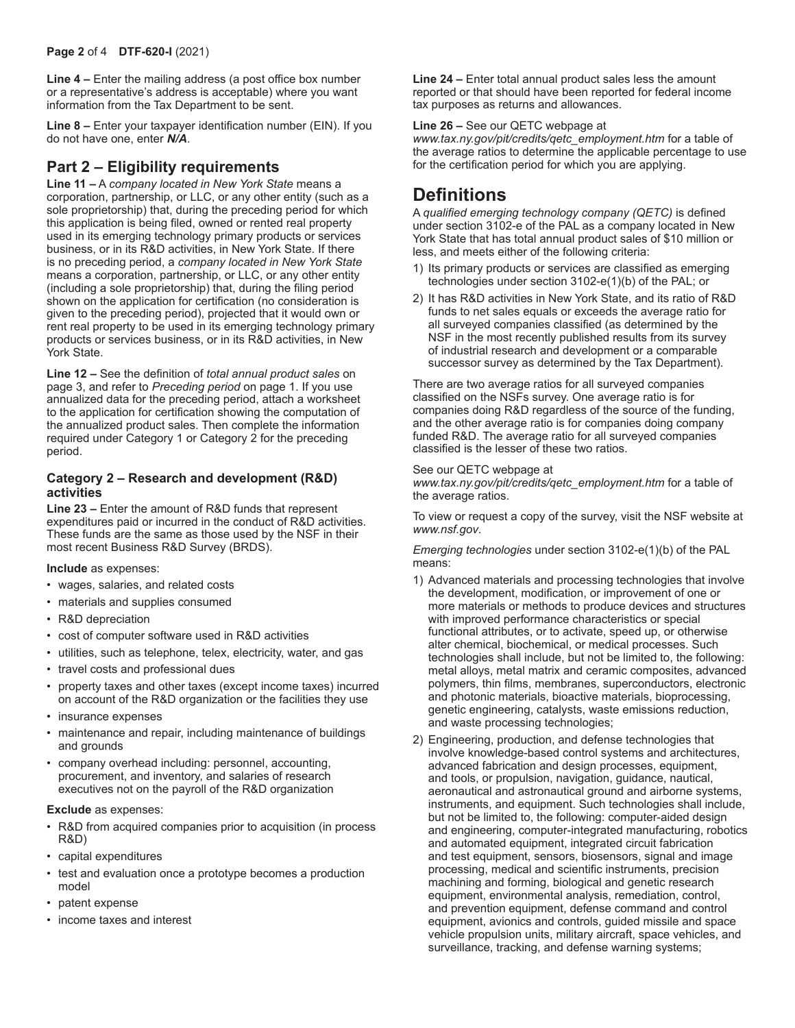**Line 4 –** Enter the mailing address (a post office box number or a representative's address is acceptable) where you want information from the Tax Department to be sent.

**Line 8 –** Enter your taxpayer identification number (EIN). If you do not have one, enter *N/A*.

### **Part 2 – Eligibility requirements**

**Line 11 –** A *company located in New York State* means a corporation, partnership, or LLC, or any other entity (such as a sole proprietorship) that, during the preceding period for which this application is being filed, owned or rented real property used in its emerging technology primary products or services business, or in its R&D activities, in New York State. If there is no preceding period, a *company located in New York State* means a corporation, partnership, or LLC, or any other entity (including a sole proprietorship) that, during the filing period shown on the application for certification (no consideration is given to the preceding period), projected that it would own or rent real property to be used in its emerging technology primary products or services business, or in its R&D activities, in New York State.

**Line 12 –** See the definition of *total annual product sales* on page 3, and refer to *Preceding period* on page 1. If you use annualized data for the preceding period, attach a worksheet to the application for certification showing the computation of the annualized product sales. Then complete the information required under Category 1 or Category 2 for the preceding period.

#### **Category 2 – Research and development (R&D) activities**

**Line 23 –** Enter the amount of R&D funds that represent expenditures paid or incurred in the conduct of R&D activities. These funds are the same as those used by the NSF in their most recent Business R&D Survey (BRDS).

#### **Include** as expenses:

- wages, salaries, and related costs
- materials and supplies consumed
- R&D depreciation
- cost of computer software used in R&D activities
- utilities, such as telephone, telex, electricity, water, and gas
- travel costs and professional dues
- property taxes and other taxes (except income taxes) incurred on account of the R&D organization or the facilities they use
- insurance expenses
- maintenance and repair, including maintenance of buildings and grounds
- company overhead including: personnel, accounting, procurement, and inventory, and salaries of research executives not on the payroll of the R&D organization

#### **Exclude** as expenses:

- R&D from acquired companies prior to acquisition (in process R&D)
- capital expenditures
- test and evaluation once a prototype becomes a production model
- patent expense
- income taxes and interest

**Line 24 –** Enter total annual product sales less the amount reported or that should have been reported for federal income tax purposes as returns and allowances.

#### **Line 26 –** See our QETC webpage at

*www.tax.ny.gov/pit/credits/qetc\_employment.htm* for a table of the average ratios to determine the applicable percentage to use for the certification period for which you are applying.

## **Definitions**

A *qualified emerging technology company (QETC)* is defined under section 3102-e of the PAL as a company located in New York State that has total annual product sales of \$10 million or less, and meets either of the following criteria:

- 1) Its primary products or services are classified as emerging technologies under section 3102-e(1)(b) of the PAL; or
- 2) It has R&D activities in New York State, and its ratio of R&D funds to net sales equals or exceeds the average ratio for all surveyed companies classified (as determined by the NSF in the most recently published results from its survey of industrial research and development or a comparable successor survey as determined by the Tax Department).

There are two average ratios for all surveyed companies classified on the NSFs survey. One average ratio is for companies doing R&D regardless of the source of the funding, and the other average ratio is for companies doing company funded R&D. The average ratio for all surveyed companies classified is the lesser of these two ratios.

#### See our QETC webpage at

*www.tax.ny.gov/pit/credits/qetc\_employment.htm* for a table of the average ratios.

To view or request a copy of the survey, visit the NSF website at *www.nsf.gov*.

*Emerging technologies* under section 3102-e(1)(b) of the PAL means:

- 1) Advanced materials and processing technologies that involve the development, modification, or improvement of one or more materials or methods to produce devices and structures with improved performance characteristics or special functional attributes, or to activate, speed up, or otherwise alter chemical, biochemical, or medical processes. Such technologies shall include, but not be limited to, the following: metal alloys, metal matrix and ceramic composites, advanced polymers, thin films, membranes, superconductors, electronic and photonic materials, bioactive materials, bioprocessing, genetic engineering, catalysts, waste emissions reduction, and waste processing technologies;
- 2) Engineering, production, and defense technologies that involve knowledge-based control systems and architectures, advanced fabrication and design processes, equipment, and tools, or propulsion, navigation, guidance, nautical, aeronautical and astronautical ground and airborne systems, instruments, and equipment. Such technologies shall include, but not be limited to, the following: computer-aided design and engineering, computer-integrated manufacturing, robotics and automated equipment, integrated circuit fabrication and test equipment, sensors, biosensors, signal and image processing, medical and scientific instruments, precision machining and forming, biological and genetic research equipment, environmental analysis, remediation, control, and prevention equipment, defense command and control equipment, avionics and controls, guided missile and space vehicle propulsion units, military aircraft, space vehicles, and surveillance, tracking, and defense warning systems;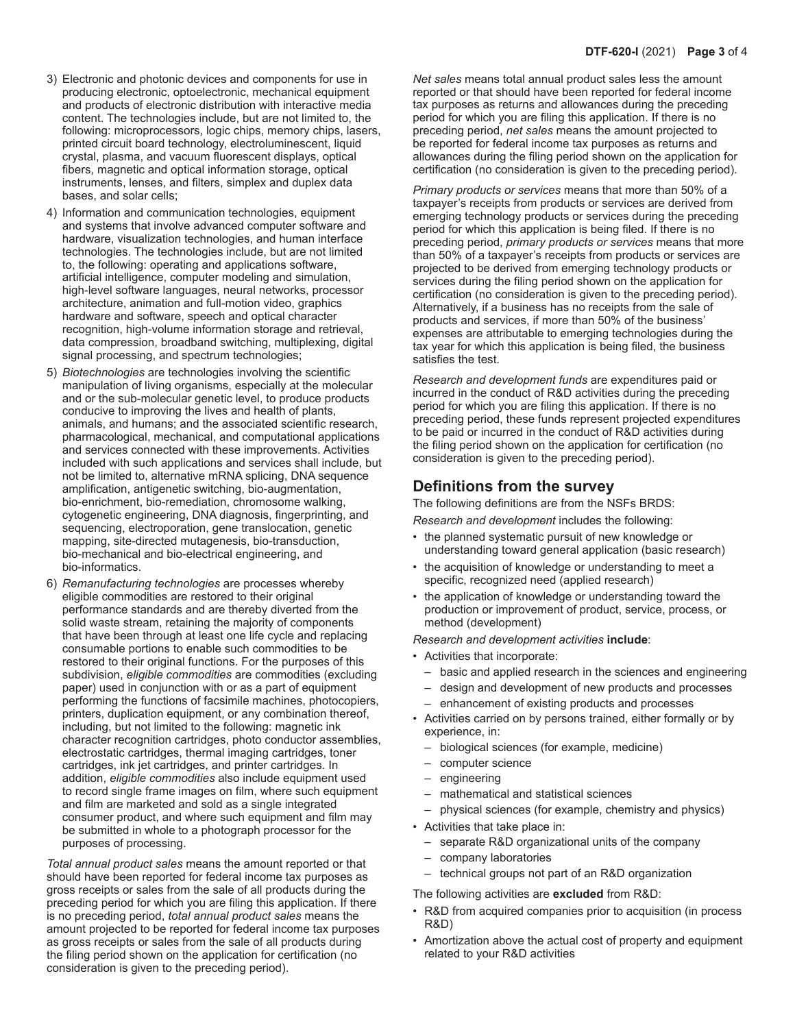- 3) Electronic and photonic devices and components for use in producing electronic, optoelectronic, mechanical equipment and products of electronic distribution with interactive media content. The technologies include, but are not limited to, the following: microprocessors, logic chips, memory chips, lasers, printed circuit board technology, electroluminescent, liquid crystal, plasma, and vacuum fluorescent displays, optical fibers, magnetic and optical information storage, optical instruments, lenses, and filters, simplex and duplex data bases, and solar cells;
- 4) Information and communication technologies, equipment and systems that involve advanced computer software and hardware, visualization technologies, and human interface technologies. The technologies include, but are not limited to, the following: operating and applications software, artificial intelligence, computer modeling and simulation, high-level software languages, neural networks, processor architecture, animation and full-motion video, graphics hardware and software, speech and optical character recognition, high-volume information storage and retrieval, data compression, broadband switching, multiplexing, digital signal processing, and spectrum technologies;
- 5) *Biotechnologies* are technologies involving the scientific manipulation of living organisms, especially at the molecular and or the sub-molecular genetic level, to produce products conducive to improving the lives and health of plants, animals, and humans; and the associated scientific research, pharmacological, mechanical, and computational applications and services connected with these improvements. Activities included with such applications and services shall include, but not be limited to, alternative mRNA splicing, DNA sequence amplification, antigenetic switching, bio-augmentation, bio-enrichment, bio-remediation, chromosome walking, cytogenetic engineering, DNA diagnosis, fingerprinting, and sequencing, electroporation, gene translocation, genetic mapping, site-directed mutagenesis, bio-transduction, bio-mechanical and bio-electrical engineering, and bio-informatics.
- 6) *Remanufacturing technologies* are processes whereby eligible commodities are restored to their original performance standards and are thereby diverted from the solid waste stream, retaining the majority of components that have been through at least one life cycle and replacing consumable portions to enable such commodities to be restored to their original functions. For the purposes of this subdivision, *eligible commodities* are commodities (excluding paper) used in conjunction with or as a part of equipment performing the functions of facsimile machines, photocopiers, printers, duplication equipment, or any combination thereof, including, but not limited to the following: magnetic ink character recognition cartridges, photo conductor assemblies, electrostatic cartridges, thermal imaging cartridges, toner cartridges, ink jet cartridges, and printer cartridges. In addition, *eligible commodities* also include equipment used to record single frame images on film, where such equipment and film are marketed and sold as a single integrated consumer product, and where such equipment and film may be submitted in whole to a photograph processor for the purposes of processing.

*Total annual product sales* means the amount reported or that should have been reported for federal income tax purposes as gross receipts or sales from the sale of all products during the preceding period for which you are filing this application. If there is no preceding period, *total annual product sales* means the amount projected to be reported for federal income tax purposes as gross receipts or sales from the sale of all products during the filing period shown on the application for certification (no consideration is given to the preceding period).

*Net sales* means total annual product sales less the amount reported or that should have been reported for federal income tax purposes as returns and allowances during the preceding period for which you are filing this application. If there is no preceding period, *net sales* means the amount projected to be reported for federal income tax purposes as returns and allowances during the filing period shown on the application for certification (no consideration is given to the preceding period).

*Primary products or services* means that more than 50% of a taxpayer's receipts from products or services are derived from emerging technology products or services during the preceding period for which this application is being filed. If there is no preceding period, *primary products or services* means that more than 50% of a taxpayer's receipts from products or services are projected to be derived from emerging technology products or services during the filing period shown on the application for certification (no consideration is given to the preceding period). Alternatively, if a business has no receipts from the sale of products and services, if more than 50% of the business' expenses are attributable to emerging technologies during the tax year for which this application is being filed, the business satisfies the test.

*Research and development funds* are expenditures paid or incurred in the conduct of R&D activities during the preceding period for which you are filing this application. If there is no preceding period, these funds represent projected expenditures to be paid or incurred in the conduct of R&D activities during the filing period shown on the application for certification (no consideration is given to the preceding period).

### **Definitions from the survey**

The following definitions are from the NSFs BRDS:

*Research and development* includes the following:

- the planned systematic pursuit of new knowledge or understanding toward general application (basic research)
- the acquisition of knowledge or understanding to meet a specific, recognized need (applied research)
- the application of knowledge or understanding toward the production or improvement of product, service, process, or method (development)

*Research and development activities* **include**:

- Activities that incorporate:
	- basic and applied research in the sciences and engineering
	- design and development of new products and processes
	- enhancement of existing products and processes
- Activities carried on by persons trained, either formally or by experience, in:
	- biological sciences (for example, medicine)
	- computer science
	- engineering
	- mathematical and statistical sciences
- physical sciences (for example, chemistry and physics)
- Activities that take place in:
	- separate R&D organizational units of the company
	- company laboratories
	- technical groups not part of an R&D organization

The following activities are **excluded** from R&D:

- R&D from acquired companies prior to acquisition (in process R&D)
- Amortization above the actual cost of property and equipment related to your R&D activities